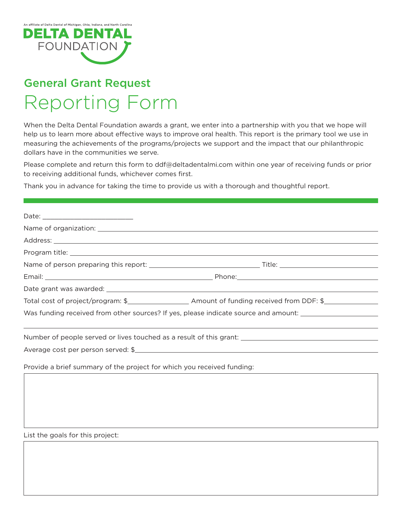

## General Grant Request Reporting Form

When the Delta Dental Foundation awards a grant, we enter into a partnership with you that we hope will help us to learn more about effective ways to improve oral health. This report is the primary tool we use in measuring the achievements of the programs/projects we support and the impact that our philanthropic dollars have in the communities we serve.

Please complete and return this form to ddf@deltadentalmi.com within one year of receiving funds or prior to receiving additional funds, whichever comes first.

Thank you in advance for taking the time to provide us with a thorough and thoughtful report.

| Was funding received from other sources? If yes, please indicate source and amount: _________________________ |  |
|---------------------------------------------------------------------------------------------------------------|--|
|                                                                                                               |  |
| Number of people served or lives touched as a result of this grant: ________________________________          |  |
| Average cost per person served: \$                                                                            |  |

Provide a brief summary of the project for which you received funding:

List the goals for this project: